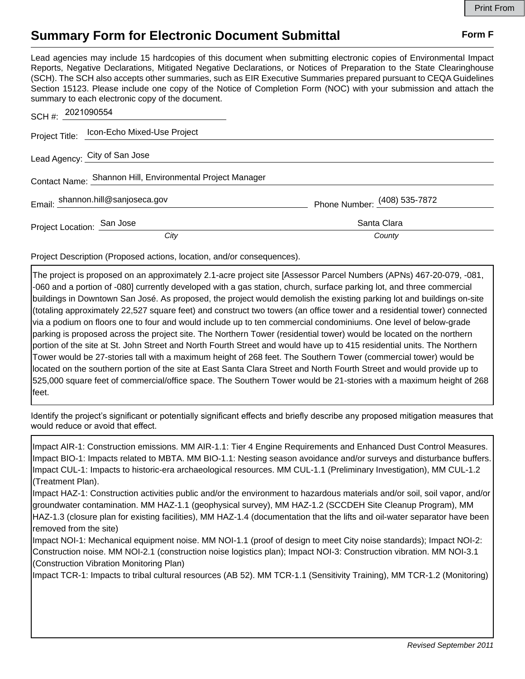## **Summary Form for Electronic Document Submittal Form F Form F**

Lead agencies may include 15 hardcopies of this document when submitting electronic copies of Environmental Impact Reports, Negative Declarations, Mitigated Negative Declarations, or Notices of Preparation to the State Clearinghouse (SCH). The SCH also accepts other summaries, such as EIR Executive Summaries prepared pursuant to CEQA Guidelines Section 15123. Please include one copy of the Notice of Completion Form (NOC) with your submission and attach the summary to each electronic copy of the document.

| SCH #: $2021090554$                                       |                                            |                              |
|-----------------------------------------------------------|--------------------------------------------|------------------------------|
|                                                           | Project Title: Icon-Echo Mixed-Use Project |                              |
| Lead Agency: City of San Jose                             |                                            |                              |
| Contact Name: Shannon Hill, Environmental Project Manager |                                            |                              |
| Email: shannon.hill@sanjoseca.gov                         |                                            | Phone Number: (408) 535-7872 |
| Project Location: San Jose                                |                                            | Santa Clara                  |
|                                                           | City                                       | County                       |

Project Description (Proposed actions, location, and/or consequences).

The project is proposed on an approximately 2.1-acre project site [Assessor Parcel Numbers (APNs) 467-20-079, -081, -060 and a portion of -080] currently developed with a gas station, church, surface parking lot, and three commercial buildings in Downtown San José. As proposed, the project would demolish the existing parking lot and buildings on-site (totaling approximately 22,527 square feet) and construct two towers (an office tower and a residential tower) connected via a podium on floors one to four and would include up to ten commercial condominiums. One level of below-grade parking is proposed across the project site. The Northern Tower (residential tower) would be located on the northern portion of the site at St. John Street and North Fourth Street and would have up to 415 residential units. The Northern Tower would be 27-stories tall with a maximum height of 268 feet. The Southern Tower (commercial tower) would be located on the southern portion of the site at East Santa Clara Street and North Fourth Street and would provide up to 525,000 square feet of commercial/office space. The Southern Tower would be 21-stories with a maximum height of 268 feet.

Identify the project's significant or potentially significant effects and briefly describe any proposed mitigation measures that would reduce or avoid that effect.

Impact AIR-1: Construction emissions. MM AIR-1.1: Tier 4 Engine Requirements and Enhanced Dust Control Measures. Impact BIO-1: Impacts related to MBTA. MM BIO-1.1: Nesting season avoidance and/or surveys and disturbance buffers. Impact CUL-1: Impacts to historic-era archaeological resources. MM CUL-1.1 (Preliminary Investigation), MM CUL-1.2 (Treatment Plan).

Impact HAZ-1: Construction activities public and/or the environment to hazardous materials and/or soil, soil vapor, and/or groundwater contamination. MM HAZ-1.1 (geophysical survey), MM HAZ-1.2 (SCCDEH Site Cleanup Program), MM HAZ-1.3 (closure plan for existing facilities), MM HAZ-1.4 (documentation that the lifts and oil-water separator have been removed from the site)

Impact NOI-1: Mechanical equipment noise. MM NOI-1.1 (proof of design to meet City noise standards); Impact NOI-2: Construction noise. MM NOI-2.1 (construction noise logistics plan); Impact NOI-3: Construction vibration. MM NOI-3.1 (Construction Vibration Monitoring Plan)

Impact TCR-1: Impacts to tribal cultural resources (AB 52). MM TCR-1.1 (Sensitivity Training), MM TCR-1.2 (Monitoring)